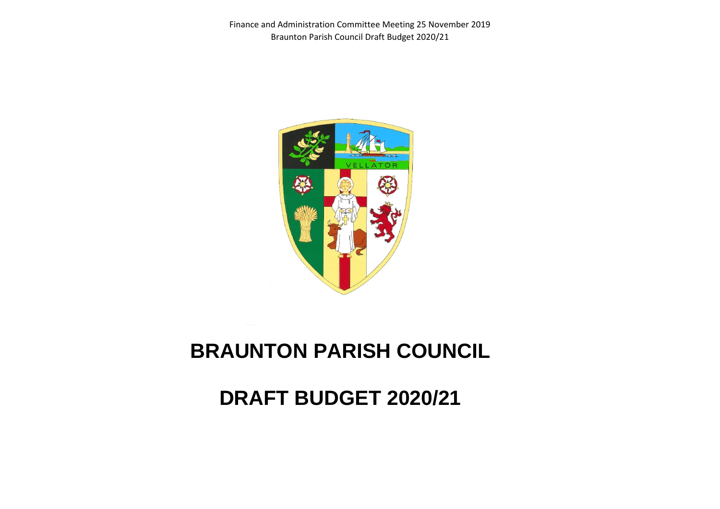Finance and Administration Committee Meeting 25 November 2019 Braunton Parish Council Draft Budget 2020/21



## **BRAUNTON PARISH COUNCIL**

**DRAFT BUDGET 2020/21**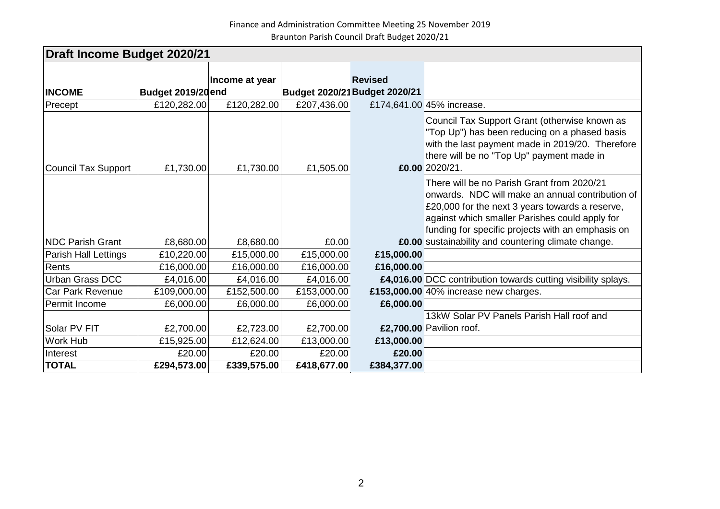Finance and Administration Committee Meeting 25 November 2019 Braunton Parish Council Draft Budget 2020/21

| <b>Draft Income Budget 2020/21</b> |                    |                |             |                                                 |                                                                                                                                                                                                                                                          |  |  |  |  |
|------------------------------------|--------------------|----------------|-------------|-------------------------------------------------|----------------------------------------------------------------------------------------------------------------------------------------------------------------------------------------------------------------------------------------------------------|--|--|--|--|
| <b>INCOME</b>                      | Budget 2019/20 end | Income at year |             | <b>Revised</b><br>Budget 2020/21 Budget 2020/21 |                                                                                                                                                                                                                                                          |  |  |  |  |
| Precept                            | £120,282.00        | £120,282.00    | £207,436.00 |                                                 | £174,641.00 45% increase.                                                                                                                                                                                                                                |  |  |  |  |
| Council Tax Support                | £1,730.00          | £1,730.00      | £1,505.00   |                                                 | Council Tax Support Grant (otherwise known as<br>"Top Up") has been reducing on a phased basis<br>with the last payment made in 2019/20. Therefore<br>there will be no "Top Up" payment made in<br>£0.00 2020/21.                                        |  |  |  |  |
|                                    |                    |                |             |                                                 | There will be no Parish Grant from 2020/21<br>onwards. NDC will make an annual contribution of<br>£20,000 for the next 3 years towards a reserve,<br>against which smaller Parishes could apply for<br>funding for specific projects with an emphasis on |  |  |  |  |
| <b>INDC Parish Grant</b>           | £8,680.00          | £8,680.00      | £0.00       |                                                 | £0.00 sustainability and countering climate change.                                                                                                                                                                                                      |  |  |  |  |
| Parish Hall Lettings               | £10,220.00         | £15,000.00     | £15,000.00  | £15,000.00                                      |                                                                                                                                                                                                                                                          |  |  |  |  |
| Rents                              | £16,000.00         | £16,000.00     | £16,000.00  | £16,000.00                                      |                                                                                                                                                                                                                                                          |  |  |  |  |
| <b>Urban Grass DCC</b>             | £4,016.00          | £4,016.00      | £4,016.00   |                                                 | £4,016.00 DCC contribution towards cutting visibility splays.                                                                                                                                                                                            |  |  |  |  |
| <b>Car Park Revenue</b>            | £109,000.00        | £152,500.00    | £153,000.00 |                                                 | £153,000.00 40% increase new charges.                                                                                                                                                                                                                    |  |  |  |  |
| Permit Income                      | £6,000.00          | £6,000.00      | £6,000.00   | £6,000.00                                       |                                                                                                                                                                                                                                                          |  |  |  |  |
|                                    |                    |                |             |                                                 | 13kW Solar PV Panels Parish Hall roof and                                                                                                                                                                                                                |  |  |  |  |
| Solar PV FIT                       | £2,700.00          | £2,723.00      | £2,700.00   |                                                 | £2,700.00 Pavilion roof.                                                                                                                                                                                                                                 |  |  |  |  |
| <b>Work Hub</b>                    | £15,925.00         | £12,624.00     | £13,000.00  | £13,000.00                                      |                                                                                                                                                                                                                                                          |  |  |  |  |
| Interest                           | £20.00             | £20.00         | £20.00      | £20.00                                          |                                                                                                                                                                                                                                                          |  |  |  |  |
| <b>TOTAL</b>                       | £294,573.00        | £339,575.00    | £418,677.00 | £384,377.00                                     |                                                                                                                                                                                                                                                          |  |  |  |  |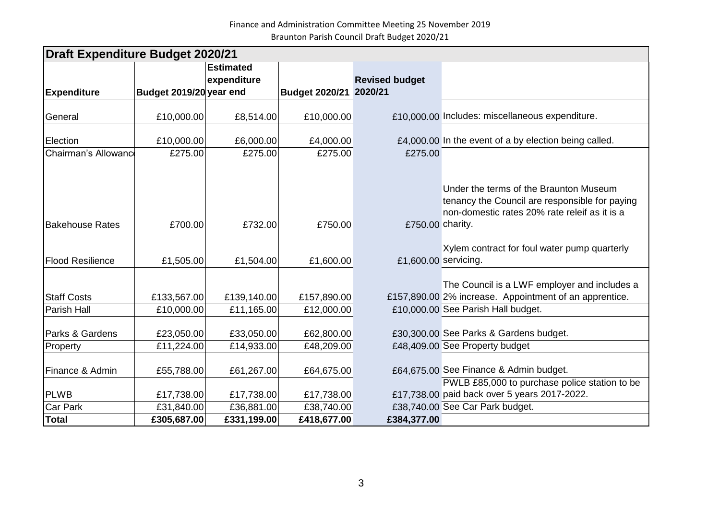| <b>Draft Expenditure Budget 2020/21</b> |                           |                           |                           |                       |                                                                                                                                              |  |  |  |  |
|-----------------------------------------|---------------------------|---------------------------|---------------------------|-----------------------|----------------------------------------------------------------------------------------------------------------------------------------------|--|--|--|--|
|                                         |                           | <b>Estimated</b>          |                           |                       |                                                                                                                                              |  |  |  |  |
|                                         |                           | expenditure               |                           | <b>Revised budget</b> |                                                                                                                                              |  |  |  |  |
| <b>Expenditure</b>                      | Budget 2019/20 year end   |                           | <b>Budget 2020/21</b>     | 2020/21               |                                                                                                                                              |  |  |  |  |
| General                                 | £10,000.00                | £8,514.00                 | £10,000.00                |                       | £10,000.00 Includes: miscellaneous expenditure.                                                                                              |  |  |  |  |
| Election                                | £10,000.00                | £6,000.00                 | £4,000.00                 |                       | £4,000.00 In the event of a by election being called.                                                                                        |  |  |  |  |
| Chairman's Allowance                    | £275.00                   | £275.00                   | £275.00                   | £275.00               |                                                                                                                                              |  |  |  |  |
| <b>Bakehouse Rates</b>                  | £700.00                   | £732.00                   | £750.00                   | £750.00 charity.      | Under the terms of the Braunton Museum<br>tenancy the Council are responsible for paying<br>non-domestic rates 20% rate releif as it is a    |  |  |  |  |
| <b>Flood Resilience</b>                 | £1,505.00                 | £1,504.00                 | £1,600.00                 | £1,600.00 servicing.  | Xylem contract for foul water pump quarterly                                                                                                 |  |  |  |  |
| <b>Staff Costs</b><br>Parish Hall       | £133,567.00<br>£10,000.00 | £139,140.00<br>£11,165.00 | £157,890.00<br>£12,000.00 |                       | The Council is a LWF employer and includes a<br>£157,890.00 2% increase. Appointment of an apprentice.<br>£10,000.00 See Parish Hall budget. |  |  |  |  |
| Parks & Gardens                         | £23,050.00                | £33,050.00                | £62,800.00                |                       | £30,300.00 See Parks & Gardens budget.                                                                                                       |  |  |  |  |
| Property                                | £11,224.00                | £14,933.00                | £48,209.00                |                       | £48,409.00 See Property budget                                                                                                               |  |  |  |  |
| Finance & Admin                         | £55,788.00                | £61,267.00                | £64,675.00                |                       | £64,675.00 See Finance & Admin budget.                                                                                                       |  |  |  |  |
| <b>PLWB</b>                             | £17,738.00                | £17,738.00                | £17,738.00                |                       | PWLB £85,000 to purchase police station to be<br>£17,738.00 paid back over 5 years 2017-2022.                                                |  |  |  |  |
| <b>Car Park</b>                         | £31,840.00                | £36,881.00                | £38,740.00                |                       | £38,740.00 See Car Park budget.                                                                                                              |  |  |  |  |
| <b>Total</b>                            | £305,687.00               | £331,199.00               | £418,677.00               | £384,377.00           |                                                                                                                                              |  |  |  |  |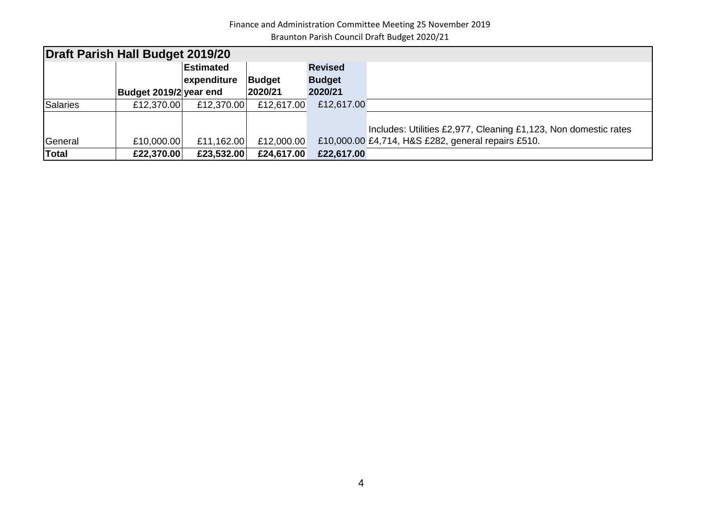Finance and Administration Committee Meeting 25 November 2019 Braunton Parish Council Draft Budget 2020/21

| Draft Parish Hall Budget 2019/20 |                        |             |               |                |                                                                 |  |  |  |  |
|----------------------------------|------------------------|-------------|---------------|----------------|-----------------------------------------------------------------|--|--|--|--|
|                                  |                        | Estimated   |               | <b>Revised</b> |                                                                 |  |  |  |  |
|                                  |                        | expenditure | <b>Budget</b> | <b>Budget</b>  |                                                                 |  |  |  |  |
|                                  | Budget 2019/2 year end |             | 2020/21       | 2020/21        |                                                                 |  |  |  |  |
| Salaries                         | £12,370.00             | £12,370.00  | £12,617.00    | £12,617.00     |                                                                 |  |  |  |  |
|                                  |                        |             |               |                |                                                                 |  |  |  |  |
|                                  |                        |             |               |                | Includes: Utilities £2,977, Cleaning £1,123, Non domestic rates |  |  |  |  |
| General                          | £10,000.00             | £11,162.00  | £12,000.00    |                | £10,000.00 £4,714, H&S £282, general repairs £510.              |  |  |  |  |
| Total                            | £22,370.00             | £23,532.00  | £24,617.00    | £22,617.00     |                                                                 |  |  |  |  |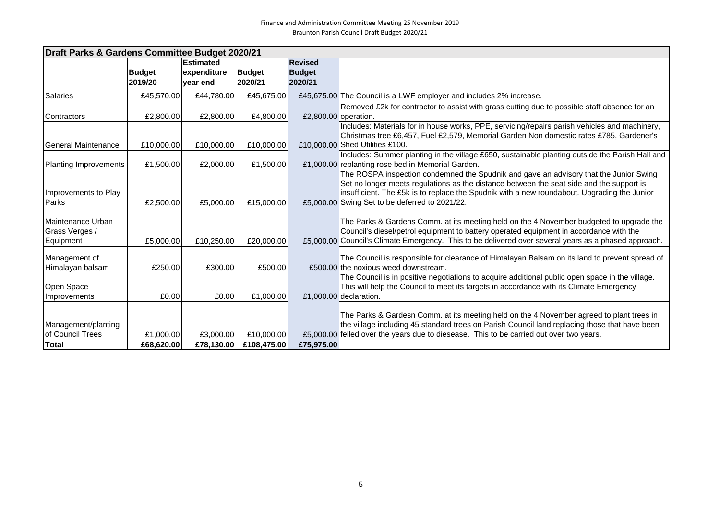| Draft Parks & Gardens Committee Budget 2020/21 |               |             |               |                      |                                                                                                                                            |  |  |
|------------------------------------------------|---------------|-------------|---------------|----------------------|--------------------------------------------------------------------------------------------------------------------------------------------|--|--|
|                                                |               | Estimated   |               | <b>Revised</b>       |                                                                                                                                            |  |  |
|                                                | <b>Budget</b> | expenditure | <b>Budget</b> | <b>Budget</b>        |                                                                                                                                            |  |  |
|                                                | 2019/20       | vear end    | 2020/21       | 2020/21              |                                                                                                                                            |  |  |
| <b>Salaries</b>                                | £45,570.00    | £44,780.00  | £45,675.00    |                      | £45,675.00 The Council is a LWF employer and includes 2% increase.                                                                         |  |  |
|                                                |               |             |               |                      | Removed £2k for contractor to assist with grass cutting due to possible staff absence for an                                               |  |  |
| Contractors                                    | £2,800.00     | £2,800.00   | £4,800.00     | £2,800.00 operation. |                                                                                                                                            |  |  |
|                                                |               |             |               |                      | Includes: Materials for in house works, PPE, servicing/repairs parish vehicles and machinery,                                              |  |  |
|                                                |               |             |               |                      | Christmas tree £6,457, Fuel £2,579, Memorial Garden Non domestic rates £785, Gardener's                                                    |  |  |
| <b>General Maintenance</b>                     | £10,000.00    | £10,000.00  | £10,000.00    |                      | £10,000.00 Shed Utilities £100.                                                                                                            |  |  |
|                                                |               |             |               |                      | Includes: Summer planting in the village £650, sustainable planting outside the Parish Hall and                                            |  |  |
| Planting Improvements                          | £1,500.00     | £2,000.00   | £1,500.00     |                      | £1,000.00 replanting rose bed in Memorial Garden.<br>The ROSPA inspection condemned the Spudnik and gave an advisory that the Junior Swing |  |  |
|                                                |               |             |               |                      | Set no longer meets regulations as the distance between the seat side and the support is                                                   |  |  |
| Improvements to Play                           |               |             |               |                      | insufficient. The £5k is to replace the Spudnik with a new roundabout. Upgrading the Junior                                                |  |  |
| Parks                                          | £2,500.00     | £5,000.00   | £15,000.00    |                      | £5,000.00 Swing Set to be deferred to 2021/22.                                                                                             |  |  |
|                                                |               |             |               |                      |                                                                                                                                            |  |  |
| Maintenance Urban                              |               |             |               |                      | The Parks & Gardens Comm. at its meeting held on the 4 November budgeted to upgrade the                                                    |  |  |
| Grass Verges /                                 |               |             |               |                      | Council's diesel/petrol equipment to battery operated equipment in accordance with the                                                     |  |  |
| Equipment                                      | £5,000.00     | £10,250.00  | £20,000.00    |                      | £5,000.00 Council's Climate Emergency. This to be delivered over several years as a phased approach.                                       |  |  |
| Management of                                  |               |             |               |                      | The Council is responsible for clearance of Himalayan Balsam on its land to prevent spread of                                              |  |  |
| Himalayan balsam                               | £250.00       | £300.00     | £500.00       |                      | £500.00 the noxious weed downstream.                                                                                                       |  |  |
|                                                |               |             |               |                      | The Council is in positive negotiations to acquire additional public open space in the village.                                            |  |  |
| <b>Open Space</b>                              |               |             |               |                      | This will help the Council to meet its targets in accordance with its Climate Emergency                                                    |  |  |
| Improvements                                   | £0.00         | £0.00       | £1,000.00     |                      | £1,000,00 declaration.                                                                                                                     |  |  |
|                                                |               |             |               |                      |                                                                                                                                            |  |  |
|                                                |               |             |               |                      | The Parks & Gardesn Comm. at its meeting held on the 4 November agreed to plant trees in                                                   |  |  |
| Management/planting                            |               |             |               |                      | the village including 45 standard trees on Parish Council land replacing those that have been                                              |  |  |
| <b>Iof Council Trees</b>                       | £1,000.00     | £3,000.00   | £10,000.00    |                      | £5,000.00 felled over the years due to diesease. This to be carried out over two years.                                                    |  |  |
| <b>Total</b>                                   | £68,620.00    | £78,130.00  | £108,475.00   | £75,975.00           |                                                                                                                                            |  |  |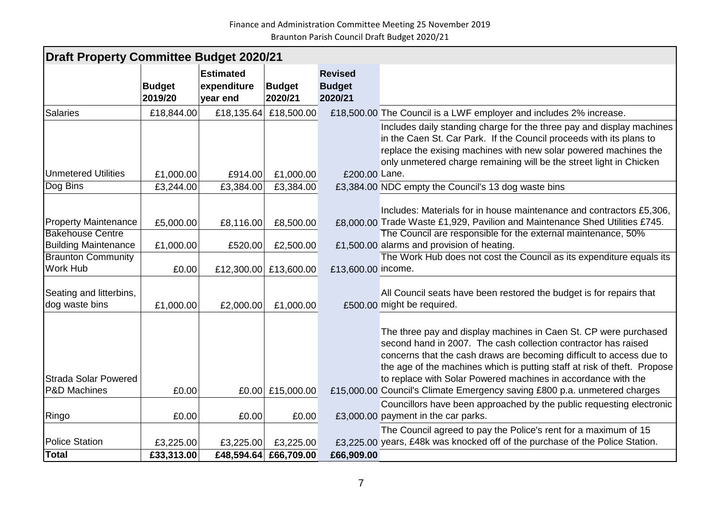| <b>Draft Property Committee Budget 2020/21</b>         |                          |                                             |                          |                                            |                                                                                                                                                                                                                                                                                                                                                                                                                                      |  |  |  |
|--------------------------------------------------------|--------------------------|---------------------------------------------|--------------------------|--------------------------------------------|--------------------------------------------------------------------------------------------------------------------------------------------------------------------------------------------------------------------------------------------------------------------------------------------------------------------------------------------------------------------------------------------------------------------------------------|--|--|--|
|                                                        | <b>Budget</b><br>2019/20 | <b>Estimated</b><br>expenditure<br>year end | <b>Budget</b><br>2020/21 | <b>Revised</b><br><b>Budget</b><br>2020/21 |                                                                                                                                                                                                                                                                                                                                                                                                                                      |  |  |  |
| <b>Salaries</b>                                        | £18,844.00               | £18,135.64                                  | £18,500.00               |                                            | £18,500.00 The Council is a LWF employer and includes 2% increase.                                                                                                                                                                                                                                                                                                                                                                   |  |  |  |
| <b>Unmetered Utilities</b>                             | £1,000.00                | £914.00                                     | £1,000.00                | £200.00 Lane.                              | Includes daily standing charge for the three pay and display machines<br>in the Caen St. Car Park. If the Council proceeds with its plans to<br>replace the exising machines with new solar powered machines the<br>only unmetered charge remaining will be the street light in Chicken                                                                                                                                              |  |  |  |
| Dog Bins                                               | £3,244.00                | £3,384.00                                   | £3,384.00                |                                            | £3,384.00 NDC empty the Council's 13 dog waste bins                                                                                                                                                                                                                                                                                                                                                                                  |  |  |  |
| <b>Property Maintenance</b><br><b>Bakehouse Centre</b> | £5,000.00                | £8,116.00                                   | £8,500.00                |                                            | Includes: Materials for in house maintenance and contractors £5,306,<br>£8,000.00 Trade Waste £1,929, Pavilion and Maintenance Shed Utilities £745.                                                                                                                                                                                                                                                                                  |  |  |  |
| <b>Building Maintenance</b>                            | £1,000.00                | £520.00                                     | £2,500.00                |                                            | The Council are responsible for the external maintenance, 50%<br>£1,500.00 alarms and provision of heating.                                                                                                                                                                                                                                                                                                                          |  |  |  |
| <b>Braunton Community</b>                              |                          |                                             |                          |                                            | The Work Hub does not cost the Council as its expenditure equals its                                                                                                                                                                                                                                                                                                                                                                 |  |  |  |
| Work Hub                                               | £0.00                    |                                             | £12,300.00 £13,600.00    | £13,600.00 income.                         |                                                                                                                                                                                                                                                                                                                                                                                                                                      |  |  |  |
| Seating and litterbins,<br>dog waste bins              | £1,000.00                | £2,000.00                                   | £1,000.00                |                                            | All Council seats have been restored the budget is for repairs that<br>£500.00 might be required.                                                                                                                                                                                                                                                                                                                                    |  |  |  |
| <b>Strada Solar Powered</b><br><b>P&amp;D Machines</b> | £0.00                    |                                             | £0.00 £15,000.00         |                                            | The three pay and display machines in Caen St. CP were purchased<br>second hand in 2007. The cash collection contractor has raised<br>concerns that the cash draws are becoming difficult to access due to<br>the age of the machines which is putting staff at risk of theft. Propose<br>to replace with Solar Powered machines in accordance with the<br>£15,000.00 Council's Climate Emergency saving £800 p.a. unmetered charges |  |  |  |
|                                                        |                          |                                             |                          |                                            |                                                                                                                                                                                                                                                                                                                                                                                                                                      |  |  |  |
| Ringo                                                  | £0.00                    | £0.00                                       | £0.00                    |                                            | Councillors have been approached by the public requesting electronic<br>£3,000.00 payment in the car parks.                                                                                                                                                                                                                                                                                                                          |  |  |  |
| <b>Police Station</b>                                  | £3,225.00                | £3,225.00                                   | £3,225.00                |                                            | The Council agreed to pay the Police's rent for a maximum of 15<br>£3,225.00 years, £48k was knocked off of the purchase of the Police Station.                                                                                                                                                                                                                                                                                      |  |  |  |
| <b>Total</b>                                           | £33,313.00               | £48,594.64                                  | £66,709.00               | £66,909.00                                 |                                                                                                                                                                                                                                                                                                                                                                                                                                      |  |  |  |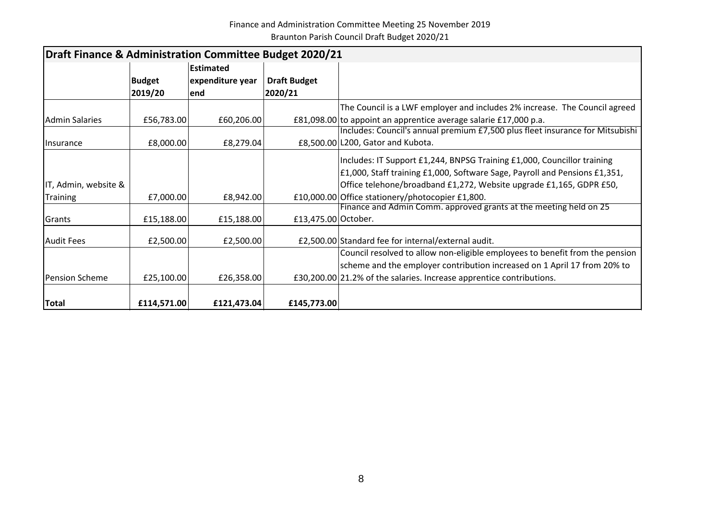Finance and Administration Committee Meeting 25 November 2019 Braunton Parish Council Draft Budget 2020/21

| Draft Finance & Administration Committee Budget 2020/21 |               |                  |                     |                                                                               |  |  |  |  |
|---------------------------------------------------------|---------------|------------------|---------------------|-------------------------------------------------------------------------------|--|--|--|--|
|                                                         |               | Estimated        |                     |                                                                               |  |  |  |  |
|                                                         | <b>Budget</b> | expenditure year | <b>Draft Budget</b> |                                                                               |  |  |  |  |
|                                                         | 2019/20       | lend             | 2020/21             |                                                                               |  |  |  |  |
|                                                         |               |                  |                     | The Council is a LWF employer and includes 2% increase. The Council agreed    |  |  |  |  |
| <b>Admin Salaries</b>                                   | £56,783.00    | £60,206.00       |                     | £81,098.00 to appoint an apprentice average salarie £17,000 p.a.              |  |  |  |  |
|                                                         |               |                  |                     | Includes: Council's annual premium £7,500 plus fleet insurance for Mitsubishi |  |  |  |  |
| <b>Ilnsurance</b>                                       | £8,000.00     | £8,279.04        |                     | £8,500.00 L200, Gator and Kubota.                                             |  |  |  |  |
|                                                         |               |                  |                     | Includes: IT Support £1,244, BNPSG Training £1,000, Councillor training       |  |  |  |  |
|                                                         |               |                  |                     | £1,000, Staff training £1,000, Software Sage, Payroll and Pensions £1,351,    |  |  |  |  |
| IT, Admin, website &                                    |               |                  |                     | Office telehone/broadband £1,272, Website upgrade £1,165, GDPR £50,           |  |  |  |  |
| <b>Training</b>                                         | £7,000.00     | £8,942.00        |                     | £10,000.00 Office stationery/photocopier £1,800.                              |  |  |  |  |
|                                                         |               |                  |                     | Finance and Admin Comm. approved grants at the meeting held on 25             |  |  |  |  |
| Grants                                                  | £15,188.00    | £15,188.00       | £13,475.00 October. |                                                                               |  |  |  |  |
| <b>Audit Fees</b>                                       | £2,500.00     | £2,500.00        |                     | £2,500.00 Standard fee for internal/external audit.                           |  |  |  |  |
|                                                         |               |                  |                     | Council resolved to allow non-eligible employees to benefit from the pension  |  |  |  |  |
|                                                         |               |                  |                     | scheme and the employer contribution increased on 1 April 17 from 20% to      |  |  |  |  |
| <b>Pension Scheme</b>                                   | £25,100.00    | £26,358.00       |                     | £30,200.00 21.2% of the salaries. Increase apprentice contributions.          |  |  |  |  |
|                                                         |               |                  |                     |                                                                               |  |  |  |  |
| <b>Total</b>                                            | £114,571.00   | £121,473.04      | £145,773.00         |                                                                               |  |  |  |  |